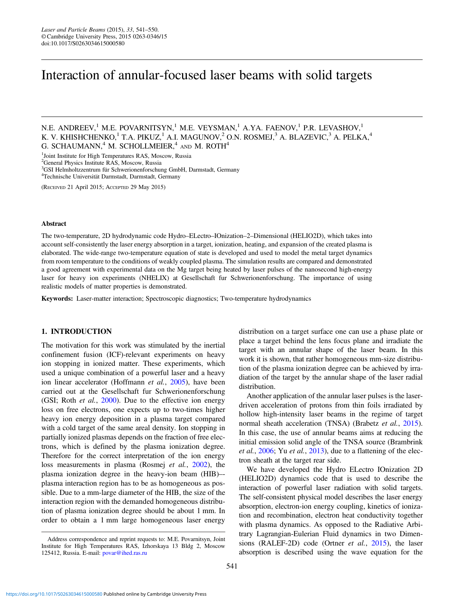# Interaction of annular-focused laser beams with solid targets

N.E. ANDREEV,<sup>1</sup> M.E. POVARNITSYN,<sup>1</sup> M.E. VEYSMAN,<sup>1</sup> A.YA. FAENOV,<sup>1</sup> P.R. LEVASHOV,<sup>1</sup> K. V. KHISHCHENKO,<sup>1</sup> T.A. PIKUZ,<sup>1</sup> A.I. MAGUNOV,<sup>2</sup> O.N. ROSMEJ,<sup>3</sup> A. BLAZEVIC,<sup>3</sup> A. PELKA,<sup>4</sup> G. SCHAUMANN, $4^4$  M. SCHOLLMEIER, $4^4$  and M. ROTH $4^4$ 

<sup>1</sup>Joint Institute for High Temperatures RAS, Moscow, Russia

2 General Physics Institute RAS, Moscow, Russia

3 GSI Helmholtzzentrum für Schwerionenforschung GmbH, Darmstadt, Germany

4 Technische Universität Darmstadt, Darmstadt, Germany

(RECEIVED 21 April 2015; ACCEPTED 29 May 2015)

#### Abstract

The two-temperature, 2D hydrodynamic code Hydro–ELectro–IOnization–2–Dimensional (HELIO2D), which takes into account self-consistently the laser energy absorption in a target, ionization, heating, and expansion of the created plasma is elaborated. The wide-range two-temperature equation of state is developed and used to model the metal target dynamics from room temperature to the conditions of weakly coupled plasma. The simulation results are compared and demonstrated a good agreement with experimental data on the Mg target being heated by laser pulses of the nanosecond high-energy laser for heavy ion experiments (NHELIX) at Gesellschaft fur Schwerionenforschung. The importance of using realistic models of matter properties is demonstrated.

Keywords: Laser-matter interaction; Spectroscopic diagnostics; Two-temperature hydrodynamics

#### 1. INTRODUCTION

The motivation for this work was stimulated by the inertial confinement fusion (ICF)-relevant experiments on heavy ion stopping in ionized matter. These experiments, which used a unique combination of a powerful laser and a heavy ion linear accelerator (Hoffmann et al., [2005](#page-9-0)), have been carried out at the Gesellschaft fur Schwerionenforschung (GSI; Roth et al., [2000](#page-9-0)). Due to the effective ion energy loss on free electrons, one expects up to two-times higher heavy ion energy deposition in a plasma target compared with a cold target of the same areal density. Ion stopping in partially ionized plasmas depends on the fraction of free electrons, which is defined by the plasma ionization degree. Therefore for the correct interpretation of the ion energy loss measurements in plasma (Rosmej et al., [2002\)](#page-9-0), the plasma ionization degree in the heavy-ion beam (HIB)– plasma interaction region has to be as homogeneous as possible. Due to a mm-large diameter of the HIB, the size of the interaction region with the demanded homogeneous distribution of plasma ionization degree should be about 1 mm. In order to obtain a 1 mm large homogeneous laser energy

distribution on a target surface one can use a phase plate or place a target behind the lens focus plane and irradiate the target with an annular shape of the laser beam. In this work it is shown, that rather homogeneous mm-size distribution of the plasma ionization degree can be achieved by irradiation of the target by the annular shape of the laser radial distribution.

Another application of the annular laser pulses is the laserdriven acceleration of protons from thin foils irradiated by hollow high-intensity laser beams in the regime of target normal sheath acceleration (TNSA) (Brabetz et al., [2015](#page-8-0)). In this case, the use of annular beams aims at reducing the initial emission solid angle of the TNSA source (Brambrink et al., [2006](#page-8-0); Yu et al., [2013](#page-9-0)), due to a flattening of the electron sheath at the target rear side.

We have developed the Hydro ELectro IOnization 2D (HELIO2D) dynamics code that is used to describe the interaction of powerful laser radiation with solid targets. The self-consistent physical model describes the laser energy absorption, electron-ion energy coupling, kinetics of ionization and recombination, electron heat conductivity together with plasma dynamics. As opposed to the Radiative Arbitrary Lagrangian-Eulerian Fluid dynamics in two Dimensions (RALEF-2D) code (Ortner et al., [2015](#page-9-0)), the laser absorption is described using the wave equation for the

Address correspondence and reprint requests to: M.E. Povarnitsyn, Joint Institute for High Temperatures RAS, Izhorskaya 13 Bldg 2, Moscow 125412, Russia. E-mail: [povar@ihed.ras.ru](mailto:povar@ihed.ras.ru)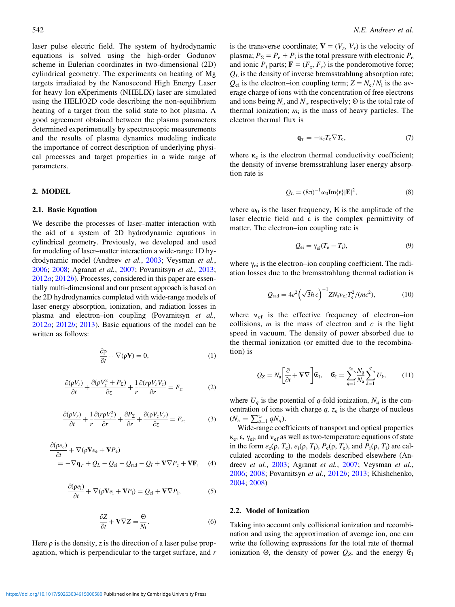<span id="page-1-0"></span>laser pulse electric field. The system of hydrodynamic equations is solved using the high-order Godunov scheme in Eulerian coordinates in two-dimensional (2D) cylindrical geometry. The experiments on heating of Mg targets irradiated by the Nanosecond High Energy Laser for heavy Ion eXperiments (NHELIX) laser are simulated using the HELIO2D code describing the non-equilibrium heating of a target from the solid state to hot plasma. A good agreement obtained between the plasma parameters determined experimentally by spectroscopic measurements and the results of plasma dynamics modeling indicate the importance of correct description of underlying physical processes and target properties in a wide range of parameters.

### 2. MODEL

## 2.1. Basic Equation

We describe the processes of laser–matter interaction with the aid of a system of 2D hydrodynamic equations in cylindrical geometry. Previously, we developed and used for modeling of laser–matter interaction a wide-range 1D hydrodynamic model (Andreev et al., [2003;](#page-8-0) Veysman et al., [2006](#page-9-0); [2008](#page-9-0); Agranat et al., [2007](#page-8-0); Povarnitsyn et al., [2013](#page-9-0); [2012](#page-9-0)a; [2012](#page-9-0)b). Processes, considered in this paper are essentially multi-dimensional and our present approach is based on the 2D hydrodynamics completed with wide-range models of laser energy absorption, ionization, and radiation losses in plasma and electron–ion coupling (Povarnitsyn et al.,  $2012a$  $2012a$ ;  $2012b$ ;  $2013$ ). Basic equations of the model can be written as follows:

$$
\frac{\partial \rho}{\partial t} + \nabla(\rho \mathbf{V}) = 0,\tag{1}
$$

$$
\frac{\partial(\rho V_z)}{\partial t} + \frac{\partial(\rho V_z^2 + P_\Sigma)}{\partial z} + \frac{1}{r} \frac{\partial(r \rho V_z V_z)}{\partial r} = F_z, \tag{2}
$$

$$
\frac{\partial(\rho V_r)}{\partial t} + \frac{1}{r} \frac{\partial(r\rho V_r^2)}{\partial r} + \frac{\partial P_{\Sigma}}{\partial r} + \frac{\partial(\rho V_z V_r)}{\partial z} = F_r, \tag{3}
$$

$$
\frac{\partial(\rho e_{e})}{\partial t} + \nabla(\rho \mathbf{V} e_{e} + \mathbf{V} P_{e})
$$
  
= -\nabla \mathbf{q}\_{T} + Q\_{L} - Q\_{ei} - Q\_{rad} - Q\_{I} + \mathbf{V} \nabla P\_{e} + \mathbf{V} \mathbf{F}, (4)

$$
\frac{\partial(\rho e_i)}{\partial t} + \nabla(\rho \mathbf{V} e_i + \mathbf{V} P_i) = Q_{ei} + \mathbf{V} \nabla P_i, \tag{5}
$$

$$
\frac{\partial Z}{\partial t} + \mathbf{V} \nabla Z = \frac{\Theta}{N_i}.
$$
 (6)

Here  $\rho$  is the density, z is the direction of a laser pulse propagation, which is perpendicular to the target surface, and r is the transverse coordinate;  $V = (V_z, V_r)$  is the velocity of plasma;  $P_{\Sigma} = P_{\rm e} + P_{\rm i}$  is the total pressure with electronic  $P_{\rm e}$ and ionic  $P_i$  parts;  $\mathbf{F} = (F_z, F_r)$  is the ponderomotive force;  $Q_L$  is the density of inverse bremsstrahlung absorption rate;  $Q_{ei}$  is the electron–ion coupling term;  $Z = N_e/N_i$  is the average charge of ions with the concentration of free electrons and ions being  $N_e$  and  $N_i$ , respectively;  $\Theta$  is the total rate of thermal ionization;  $m_i$  is the mass of heavy particles. The electron thermal flux is

$$
\mathbf{q}_T = -\kappa_\mathrm{e} T_\mathrm{e} \nabla T_\mathrm{e},\tag{7}
$$

where  $\kappa_e$  is the electron thermal conductivity coefficient; the density of inverse bremsstrahlung laser energy absorption rate is

$$
Q_L = (8\pi)^{-1} \omega_0 \text{Im}\{\varepsilon\} |\mathbf{E}|^2, \tag{8}
$$

where  $\omega_0$  is the laser frequency, **E** is the amplitude of the laser electric field and  $\varepsilon$  is the complex permittivity of matter. The electron–ion coupling rate is

$$
Q_{ei} = \gamma_{ei}(T_e - T_i),\tag{9}
$$

where  $\gamma_{ei}$  is the electron–ion coupling coefficient. The radiation losses due to the bremsstrahlung thermal radiation is

$$
Q_{\rm rad} = 4e^2 \left(\sqrt{3}\hbar c\right)^{-1} Z N_{\rm a} v_{\rm ef} T_{\rm e}^2 / (mc^2),\tag{10}
$$

where  $v_{\text{ef}}$  is the effective frequency of electron–ion collisions,  $m$  is the mass of electron and  $c$  is the light speed in vacuum. The density of power absorbed due to the thermal ionization (or emitted due to the recombination) is

$$
Q_Z = N_a \left[ \frac{\partial}{\partial t} + \mathbf{V} \nabla \right] \mathfrak{E}_I, \quad \mathfrak{E}_I = \sum_{q=1}^{z_n} \frac{N_q}{N_a} \sum_{k=1}^q U_k, \quad (11)
$$

where  $U_q$  is the potential of q-fold ionization,  $N_q$  is the concentration of ions with charge  $q$ ,  $z_n$  is the charge of nucleus  $(N_{\rm a} = \sum_{q=1}^{z_n} qN_q).$ 

Wide-range coefficients of transport and optical properties  $\kappa_e$ ,  $\varepsilon$ ,  $\gamma_{ei}$ , and  $v_{ef}$  as well as two-temperature equations of state in the form  $e_e(\rho, T_e)$ ,  $e_i(\rho, T_i)$ ,  $P_e(\rho, T_e)$ , and  $P_i(\rho, T_i)$  are calculated according to the models described elsewhere (Andreev et al., [2003;](#page-8-0) Agranat et al., [2007](#page-8-0); Veysman et al., [2006](#page-9-0); [2008;](#page-9-0) Povarnitsyn et al., [2012](#page-9-0)b; [2013](#page-9-0); Khishchenko, [2004](#page-9-0); [2008\)](#page-9-0)

# 2.2. Model of Ionization

Taking into account only collisional ionization and recombination and using the approximation of average ion, one can write the following expressions for the total rate of thermal ionization Θ, the density of power  $Q_Z$ , and the energy  $\mathfrak{E}_I$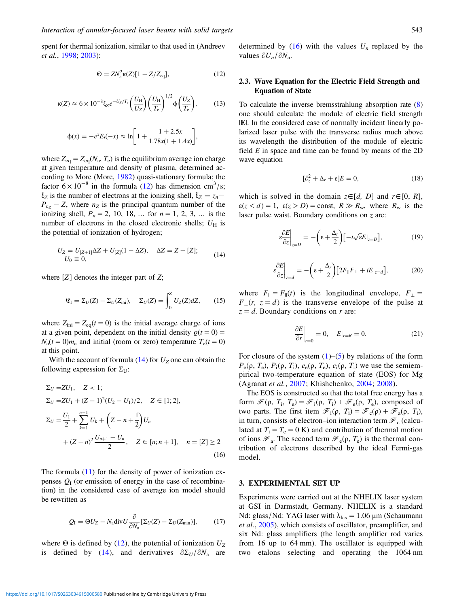spent for thermal ionization, similar to that used in (Andreev et al., [1998;](#page-8-0) [2003\)](#page-8-0):

$$
\Theta = ZN_a^2 \kappa(Z)[1 - Z/Z_{\text{eq}}],\tag{12}
$$

$$
\kappa(Z) \approx 6 \times 10^{-8} \xi_Z e^{-U_Z/T_c} \left(\frac{U_H}{U_Z}\right) \left(\frac{U_H}{T_e}\right)^{1/2} \Phi\left(\frac{U_Z}{T_e}\right),\tag{13}
$$

$$
\phi(x) = -e^x E_i(-x) \approx \ln\left[1 + \frac{1 + 2.5x}{1.78x(1 + 1.4x)}\right],
$$

where  $Z_{eq} = Z_{eq}(N_a, T_e)$  is the equilibrium average ion charge at given temperature and density of plasma, determined according to More (More, [1982\)](#page-9-0) quasi-stationary formula; the factor  $6 \times 10^{-8}$  in the formula (12) has dimension cm<sup>3</sup>/s;  $\xi_Z$  is the number of electrons at the ionizing shell,  $\xi_Z = z_n - \xi_Z$  $P_{nz}$  – Z, where  $n_z$  is the principal quantum number of the ionizing shell,  $P_n = 2, 10, 18, ...$  for  $n = 1, 2, 3, ...$  is the number of electrons in the closed electronic shells;  $U_H$  is the potential of ionization of hydrogen;

$$
U_Z = U_{[Z+1]}\Delta Z + U_{[Z]}(1 - \Delta Z), \quad \Delta Z = Z - [Z];
$$
  
\n
$$
U_0 \equiv 0,
$$
\n(14)

where  $[Z]$  denotes the integer part of  $Z$ ;

$$
\mathfrak{E}_{\mathcal{I}} = \Sigma_U(Z) - \Sigma_U(Z_{\text{ini}}), \quad \Sigma_U(Z) = \int_0^Z U_Z(Z) dZ, \qquad (15)
$$

where  $Z_{\text{ini}} = Z_{\text{eq}}(t = 0)$  is the initial average charge of ions at a given point, dependent on the initial density  $\rho(t=0)$  =  $N_a(t=0)m_a$  and initial (room or zero) temperature  $T_e(t=0)$ at this point.

With the account of formula  $(14)$  for  $U_Z$  one can obtain the following expression for  $\Sigma_U$ :

$$
\Sigma_U = ZU_1, \quad Z < 1; \\
\Sigma_U = ZU_1 + (Z - 1)^2 (U_2 - U_1)/2, \quad Z \in [1; 2], \\
\Sigma_U = \frac{U_1}{2} + \sum_{k=1}^{n-1} U_k + \left(Z - n + \frac{1}{2}\right) U_n \\
+ (Z - n)^2 \frac{U_{n+1} - U_n}{2}, \quad Z \in [n; n+1], \quad n = [Z] \ge 2
$$
\n
$$
(16)
$$

The formula [\(11](#page-1-0)) for the density of power of ionization expenses  $Q<sub>I</sub>$  (or emission of energy in the case of recombination) in the considered case of average ion model should be rewritten as

$$
Q_{\rm I} = \Theta U_Z - N_{\rm a} {\rm div} U \frac{\partial}{\partial N_{\rm a}} [\Sigma_U(Z) - \Sigma_U(Z_{\rm min})],\tag{17}
$$

where  $\Theta$  is defined by (12), the potential of ionization  $U_Z$ is defined by (14), and derivatives  $\partial \Sigma_U / \partial N_a$  are

determined by (16) with the values  $U_n$  replaced by the values  $\partial U_n/\partial N_a$ .

## 2.3. Wave Equation for the Electric Field Strength and Equation of State

To calculate the inverse bremsstrahlung absorption rate ([8\)](#page-1-0) one should calculate the module of electric field strength |E|. In the considered case of normally incident linearly polarized laser pulse with the transverse radius much above its wavelength the distribution of the module of electric field  $E$  in space and time can be found by means of the 2D wave equation

$$
[\partial_z^2 + \Delta_r + \varepsilon]E = 0,\t(18)
$$

which is solved in the domain  $z \in [d, D]$  and  $r \in [0, R]$ ,  $\varepsilon(z < d) = 1$ ,  $\varepsilon(z > D) = \text{const}, R \gg R_w$ , where  $R_w$  is the laser pulse waist. Boundary conditions on z are:

$$
\frac{\partial E}{\partial z}\Big|_{z=D} = -\left(\epsilon + \frac{\Delta_r}{2}\right) \left[-i\sqrt{\epsilon E}|_{z=D}\right],\tag{19}
$$

$$
\frac{\partial E}{\partial z}\bigg|_{z=d} = -\bigg(\varepsilon + \frac{\Delta_r}{2}\bigg)\big[2F_{||}F_{\perp} + iE_{|z=d}\bigg],\tag{20}
$$

where  $F_{\parallel} = F_{\parallel}(t)$  is the longitudinal envelope,  $F_{\perp} =$  $F_{\perp}(r, z = d)$  is the transverse envelope of the pulse at  $z = d$ . Boundary conditions on r are:

$$
\left. \frac{\partial E}{\partial r} \right|_{r=0} = 0, \quad E|_{r=R} = 0. \tag{21}
$$

For closure of the system  $(1)$  $(1)$  $(1)$ – $(5)$  $(5)$  $(5)$  by relations of the form  $P_e(\rho, T_e), P_i(\rho, T_i), e_e(\rho, T_e), e_i(\rho, T_i)$  we use the semiempirical two-temperature equation of state (EOS) for Mg (Agranat et al., [2007](#page-8-0); Khishchenko, [2004](#page-9-0); [2008\)](#page-9-0).

The EOS is constructed so that the total free energy has a form  $\mathcal{F}(\rho, T_i, T_e) = \mathcal{F}_i(\rho, T_i) + \mathcal{F}_e(\rho, T_e)$ , composed of two parts. The first item  $\mathcal{F}_i(\rho, T_i) = \mathcal{F}_c(\rho) + \mathcal{F}_a(\rho, T_i)$ , in turn, consists of electron–ion interaction term  $\mathcal{F}_c$  (calculated at  $T_i = T_e = 0$  K) and contribution of thermal motion of ions  $\mathcal{F}_a$ . The second term  $\mathcal{F}_e(\rho, T_e)$  is the thermal contribution of electrons described by the ideal Fermi-gas model.

#### 3. EXPERIMENTAL SET UP

Experiments were carried out at the NHELIX laser system at GSI in Darmstadt, Germany. NHELIX is a standard Nd: glass/Nd: YAG laser with  $λ_{\text{las}} = 1.06 \mu$ m (Schaumann et al., [2005](#page-9-0)), which consists of oscillator, preamplifier, and six Nd: glass amplifiers (the length amplifier rod varies from 16 up to 64 mm). The oscillator is equipped with two etalons selecting and operating the 1064 nm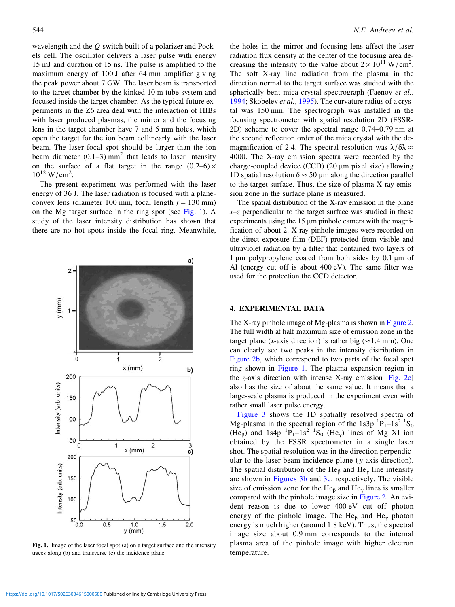wavelength and the Q-switch built of a polarizer and Pockels cell. The oscillator delivers a laser pulse with energy 15 mJ and duration of 15 ns. The pulse is amplified to the maximum energy of 100 J after 64 mm amplifier giving the peak power about 7 GW. The laser beam is transported to the target chamber by the kinked 10 m tube system and focused inside the target chamber. As the typical future experiments in the Z6 area deal with the interaction of HIBs with laser produced plasmas, the mirror and the focusing lens in the target chamber have 7 and 5 mm holes, which open the target for the ion beam collinearly with the laser beam. The laser focal spot should be larger than the ion beam diameter  $(0.1-3)$  mm<sup>2</sup> that leads to laser intensity on the surface of a flat target in the range  $(0.2-6) \times$  $10^{12}$  W/cm<sup>2</sup>.

The present experiment was performed with the laser energy of 36 J. The laser radiation is focused with a planeconvex lens (diameter 100 mm, focal length  $f = 130$  mm) on the Mg target surface in the ring spot (see Fig. 1). A study of the laser intensity distribution has shown that there are no hot spots inside the focal ring. Meanwhile,



Fig. 1. Image of the laser focal spot (a) on a target surface and the intensity traces along (b) and transverse (c) the incidence plane.

the holes in the mirror and focusing lens affect the laser radiation flux density at the center of the focusing area decreasing the intensity to the value about  $2 \times 10^{11}$  W/cm<sup>2</sup>. The soft X-ray line radiation from the plasma in the direction normal to the target surface was studied with the spherically bent mica crystal spectrograph (Faenov et al., [1994](#page-9-0); Skobelev et al., [1995](#page-9-0)). The curvature radius of a crystal was 150 mm. The spectrograph was installed in the focusing spectrometer with spatial resolution 2D (FSSR-2D) scheme to cover the spectral range 0.74–0.79 nm at the second reflection order of the mica crystal with the demagnification of 2.4. The spectral resolution was  $\lambda/\delta\lambda \approx$ 4000. The X-ray emission spectra were recorded by the charge-coupled device (CCD) (20 μm pixel size) allowing 1D spatial resolution  $\delta \approx 50 \ \mu m$  along the direction parallel to the target surface. Thus, the size of plasma X-ray emission zone in the surface plane is measured.

The spatial distribution of the X-ray emission in the plane  $x-z$  perpendicular to the target surface was studied in these experiments using the 15 μm pinhole camera with the magnification of about 2. X-ray pinhole images were recorded on the direct exposure film (DEF) protected from visible and ultraviolet radiation by a filter that contained two layers of 1 μm polypropylene coated from both sides by 0.1 μm of Al (energy cut off is about 400 eV). The same filter was used for the protection the CCD detector.

## 4. EXPERIMENTAL DATA

The X-ray pinhole image of Mg-plasma is shown in [Figure 2.](#page-4-0) The full width at half maximum size of emission zone in the target plane (x-axis direction) is rather big ( $\approx$ 1.4 mm). One can clearly see two peaks in the intensity distribution in [Figure 2b](#page-4-0), which correspond to two parts of the focal spot ring shown in Figure 1. The plasma expansion region in the *z*-axis direction with intense X-ray emission [\[Fig. 2c\]](#page-4-0) also has the size of about the same value. It means that a large-scale plasma is produced in the experiment even with rather small laser pulse energy.

[Figure 3](#page-4-0) shows the 1D spatially resolved spectra of Mg-plasma in the spectral region of the 1s3p  ${}^{1}P_{1}$ –1s<sup>2</sup>  ${}^{1}S_{0}$ (He<sub>β</sub>) and 1s4p <sup>1</sup>P<sub>1</sub>-1s<sup>2</sup> <sup>1</sup>S<sub>0</sub> (He<sub>γ</sub>) lines of Mg XI ion obtained by the FSSR spectrometer in a single laser shot. The spatial resolution was in the direction perpendicular to the laser beam incidence plane ( y-axis direction). The spatial distribution of the He<sub>β</sub> and He<sub>γ</sub> line intensity are shown in [Figures 3b](#page-4-0) and [3c](#page-4-0), respectively. The visible size of emission zone for the He<sub>β</sub> and He<sub>γ</sub> lines is smaller compared with the pinhole image size in [Figure 2.](#page-4-0) An evident reason is due to lower 400 eV cut off photon energy of the pinhole image. The He<sub>β</sub> and He<sub>γ</sub> photon energy is much higher (around 1.8 keV). Thus, the spectral image size about 0.9 mm corresponds to the internal plasma area of the pinhole image with higher electron temperature.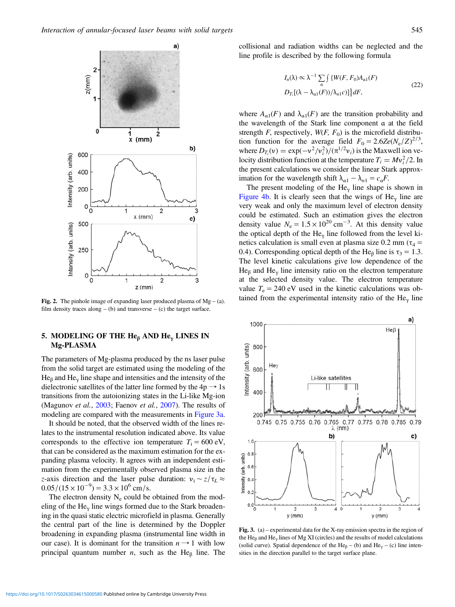<span id="page-4-0"></span>

**Fig. 2.** The pinhole image of expanding laser produced plasma of  $Mg - (a)$ . film density traces along  $-$  (b) and transverse  $-$  (c) the target surface.

# 5. MODELING OF THE He<sub>β</sub> AND He<sub>γ</sub> LINES IN Mg-PLASMA

The parameters of Mg-plasma produced by the ns laser pulse from the solid target are estimated using the modeling of the  $He<sub>β</sub>$  and  $He<sub>γ</sub>$  line shape and intensities and the intensity of the dielectronic satellites of the latter line formed by the  $4p \rightarrow 1s$ transitions from the autoionizing states in the Li-like Mg-ion (Magunov et al., [2003;](#page-9-0) Faenov et al., [2007](#page-8-0)). The results of modeling are compared with the measurements in Figure 3a.

It should be noted, that the observed width of the lines relates to the instrumental resolution indicated above. Its value corresponds to the effective ion temperature  $T_i = 600 \text{ eV}$ , that can be considered as the maximum estimation for the expanding plasma velocity. It agrees with an independent estimation from the experimentally observed plasma size in the z-axis direction and the laser pulse duration:  $v_i \sim z/\tau_L \approx$  $0.05/(15 \times 10^{-9}) = 3.3 \times 10^{6}$  cm/s.

The electron density  $N_e$  could be obtained from the modeling of the He<sub>y</sub> line wings formed due to the Stark broadening in the quasi static electric microfield in plasma. Generally the central part of the line is determined by the Doppler broadening in expanding plasma (instrumental line width in our case). It is dominant for the transition  $n \rightarrow 1$  with low principal quantum number  $n$ , such as the He $<sub>β</sub>$  line. The</sub>

collisional and radiation widths can be neglected and the line profile is described by the following formula

$$
I_n(\lambda) \propto \lambda^{-1} \sum_{\alpha} \int \{W(F, F_0)A_{\alpha 1}(F) - D_{T_i}[(\lambda - \lambda_{\alpha 1}(F))/\lambda_{n1}c)]\}dF,
$$
\n(22)

where  $A_{\alpha 1}(F)$  and  $\lambda_{\alpha 1}(F)$  are the transition probability and the wavelength of the Stark line component α at the field strength F, respectively,  $W(F, F_0)$  is the microfield distribution function for the average field  $F_0 = 2.6Ze(N_e/Z)^{2/3}$ , where  $D_{T_i}(v) = \exp(-v^2/v_i^2)/(\pi^{1/2}v_i)$  is the Maxwell ion velocity distribution function at the temperature  $T_i = Mv_i^2/2$ . In the present calculations we consider the linear Stark approximation for the wavelength shift  $\lambda_{\alpha 1} - \lambda_{n1} = c_{\alpha} F$ .

The present modeling of the  $He<sub>\gamma</sub>$  line shape is shown in [Figure 4b](#page-5-0). It is clearly seen that the wings of  $He<sub>y</sub>$  line are very weak and only the maximum level of electron density could be estimated. Such an estimation gives the electron density value  $N_e = 1.5 \times 10^{20}$  cm<sup>-3</sup>. At this density value the optical depth of the  $He<sub>v</sub>$  line followed from the level kinetics calculation is small even at plasma size 0.2 mm ( $\tau_4$  = 0.4). Corresponding optical depth of the He<sub>β</sub> line is  $\tau_3 = 1.3$ . The level kinetic calculations give low dependence of the He<sub>β</sub> and He<sub>γ</sub> line intensity ratio on the electron temperature at the selected density value. The electron temperature value  $T_e = 240$  eV used in the kinetic calculations was obtained from the experimental intensity ratio of the  $He<sub>y</sub>$  line



Fig. 3. (a) – experimental data for the X-ray emission spectra in the region of the He<sub> $\beta$ </sub> and He<sub>y</sub> lines of Mg XI (circles) and the results of model calculations (solid curve). Spatial dependence of the He<sub>β</sub> – (b) and He<sub>γ</sub> – (c) line intensities in the direction parallel to the target surface plane.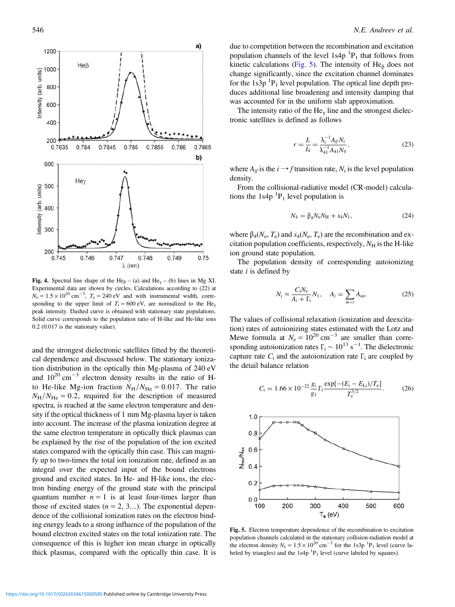<span id="page-5-0"></span>

Fig. 4. Spectral line shape of the He<sub>β</sub> – (a) and He<sub>γ</sub> – (b) lines in Mg XI. Experimental data are shown by circles. Calculations according to (22) at  $N_e = 1.5 \times 10^{20}$  cm<sup>-3</sup>,  $T_e = 240$  eV and with instrumental width, corresponding to the upper limit of  $T_i = 600 \text{ eV}$ , are normalized to the He<sub>y</sub> peak intensity. Dashed curve is obtained with stationary state populations. Solid curve corresponds to the population ratio of H-like and He-like ions 0.2 (0.017 is the stationary value).

and the strongest dielectronic satellites fitted by the theoretical dependence and discussed below. The stationary ionization distribution in the optically thin Mg-plasma of 240 eV and  $10^{20}$  cm<sup>-3</sup> electron density results in the ratio of Hto He-like Mg-ion fraction  $N_H/N_{\text{He}} = 0.017$ . The ratio  $N_{\rm H}/N_{\rm He} = 0.2$ , required for the description of measured spectra, is reached at the same electron temperature and density if the optical thickness of 1 mm Mg-plasma layer is taken into account. The increase of the plasma ionization degree at the same electron temperature in optically thick plasmas can be explained by the rise of the population of the ion excited states compared with the optically thin case. This can magnify up to two-times the total ion ionization rate, defined as an integral over the expected input of the bound electrons ground and excited states. In He- and H-like ions, the electron binding energy of the ground state with the principal quantum number  $n = 1$  is at least four-times larger than those of excited states  $(n = 2, 3...)$ . The exponential dependence of the collisional ionization rates on the electron binding energy leads to a strong influence of the population of the bound electron excited states on the total ionization rate. The consequence of this is higher ion mean charge in optically thick plasmas, compared with the optically thin case. It is

due to competition between the recombination and excitation population channels of the level  $1s4p<sup>-1</sup>P<sub>1</sub>$  that follows from kinetic calculations (Fig. 5). The intensity of  $He<sub>β</sub>$  does not change significantly, since the excitation channel dominates for the  $1s3p<sup>-1</sup>P<sub>1</sub>$  level population. The optical line depth produces additional line broadening and intensity damping that was accounted for in the uniform slab approximation.

The intensity ratio of the He<sub>y</sub> line and the strongest dielectronic satellites is defined as follows

$$
r = \frac{I_i}{I_4} = \frac{\lambda_i^{-1} A_{if} N_i}{\lambda_{41}^{-1} A_{41} N_4},\tag{23}
$$

where  $A_{if}$  is the  $i \rightarrow f$  transition rate,  $N_i$  is the level population density.

From the collisional-radiative model (CR-model) calculations the  $1s4p<sup>1</sup>P<sub>1</sub>$  level population is

$$
N_4 = \beta_4 N_e N_H + s_4 N_1, \tag{24}
$$

where  $\beta_4(N_e, T_e)$  and  $s_4(N_e, T_e)$  are the recombination and excitation population coefficients, respectively,  $N_H$  is the H-like ion ground state population.

The population density of corresponding autoionizing state  $i$  is defined by

$$
N_{\rm i} \approx \frac{C_{\rm i}N_{\rm e}}{A_i + \Gamma_{\rm i}}N_1, \quad A_i = \sum_{m < i} A_{im}.\tag{25}
$$

The values of collisional relaxation (ionization and deexcitation) rates of autoionizing states estimated with the Lotz and Mewe formula at  $N_e = 10^{20}$  cm<sup>-3</sup> are smaller than corresponding autoionization rates  $\Gamma_i \sim 10^{13} \text{ s}^{-1}$ . The dielectronic capture rate  $C_i$  and the autoionization rate  $\Gamma_i$  are coupled by the detail balance relation

$$
C_{\rm i} = 1.66 \times 10^{-22} \frac{g_i}{g_1} \Gamma_{\rm i} \frac{\exp[-(E_{\rm i} - E_{\rm Li})/T_{\rm e}]}{T_{\rm e}^{3/2}}.
$$
 (26)



Fig. 5. Electron temperature dependence of the recombination to excitation population channels calculated in the stationary collision-radiation model at the electron density  $N_e = 1.5 \times 10^{20}$  cm<sup>-3</sup> for the 1s3p <sup>1</sup>P<sub>1</sub> level (curve labeled by triangles) and the  $1s4p<sup>1</sup>P<sub>1</sub>$  level (curve labeled by squares).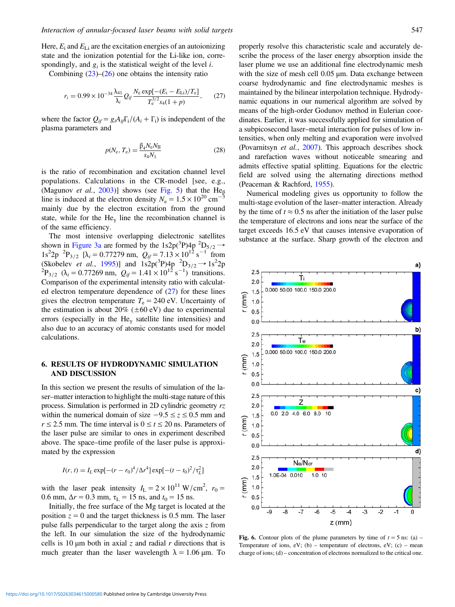<span id="page-6-0"></span>Here,  $E_i$  and  $E_{Li}$  are the excitation energies of an autoionizing state and the ionization potential for the Li-like ion, correspondingly, and  $g_i$  is the statistical weight of the level *i*.

Combining  $(23)$  $(23)$ – $(26)$  $(26)$  one obtains the intensity ratio

$$
r_i = 0.99 \times 10^{-34} \frac{\lambda_{41}}{\lambda_i} Q_{if} \frac{N_e \exp[-(E_i - E_{Li})/T_e]}{T_e^{3/2} s_4 (1 + p)},
$$
 (27)

where the factor  $Q_{if} = g_i A_{if} \Gamma_i / (A_i + \Gamma_i)$  is independent of the plasma parameters and

$$
p(N_e, T_e) = \frac{\beta_4 N_e N_{\rm II}}{s_4 N_1}
$$
 (28)

is the ratio of recombination and excitation channel level populations. Calculations in the CR-model [see, e.g., (Magunov *et al.*, [2003\)](#page-9-0)] shows (see [Fig. 5\)](#page-5-0) that the He<sub> $β$ </sub> line is induced at the electron density  $N_e = 1.5 \times 10^{20}$  cm<sup>-5</sup> mainly due by the electron excitation from the ground state, while for the He<sub>v</sub> line the recombination channel is of the same efficiency.

The most intensive overlapping dielectronic satellites shown in [Figure 3a](#page-4-0) are formed by the 1s2p( ${}^{3}P$ )4p  ${}^{2}D_{5/2}$   $\rightarrow$ 1s<sup>2</sup>2p <sup>2</sup>P<sub>3/2</sub> [ $\lambda_i = 0.77279$  nm,  $Q_{if} = 7.13 \times 10^{12}$  s<sup>-1</sup> from (Skobelev *et al.*, [1995](#page-9-0))] and  $1s2p(^{3}P)4p ^{2}D_{3/2} \rightarrow 1s^{2}2p$ <br><sup>2</sup>P<sub>3/2</sub> ( $\lambda_{i} = 0.77269$  nm,  $Q_{if} = 1.41 \times 10^{12}$  s<sup>-1</sup>) transitions. Comparison of the experimental intensity ratio with calculated electron temperature dependence of (27) for these lines gives the electron temperature  $T_e = 240$  eV. Uncertainty of the estimation is about  $20\%$  ( $\pm 60$  eV) due to experimental errors (especially in the He<sub>y</sub> satellite line intensities) and also due to an accuracy of atomic constants used for model calculations.

## 6. RESULTS OF HYDRODYNAMIC SIMULATION AND DISCUSSION

In this section we present the results of simulation of the laser–matter interaction to highlight the multi-stage nature of this process. Simulation is performed in 2D cylindric geometry rz within the numerical domain of size  $-9.5 \le z \le 0.5$  mm and  $r \le 2.5$  mm. The time interval is  $0 \le t \le 20$  ns. Parameters of the laser pulse are similar to ones in experiment described above. The space–time profile of the laser pulse is approximated by the expression

$$
I(r, t) = I_L \exp[-(r - r_0)^4 / \Delta r^4] \exp[-(t - t_0)^2 / \tau_L^2]
$$

with the laser peak intensity  $I_L = 2 \times 10^{11} \text{ W/cm}^2$ ,  $r_0 =$ 0.6 mm,  $\Delta r = 0.3$  mm,  $\tau_L = 15$  ns, and  $t_0 = 15$  ns.

Initially, the free surface of the Mg target is located at the position  $z = 0$  and the target thickness is 0.5 mm. The laser pulse falls perpendicular to the target along the axis  $z$  from the left. In our simulation the size of the hydrodynamic cells is 10  $\mu$ m both in axial z and radial r directions that is much greater than the laser wavelength  $\lambda = 1.06 \,\mu \text{m}$ . To

properly resolve this characteristic scale and accurately describe the process of the laser energy absorption inside the laser plume we use an additional fine electrodynamic mesh with the size of mesh cell 0.05 μm. Data exchange between coarse hydrodynamic and fine electrodynamic meshes is maintained by the bilinear interpolation technique. Hydrodynamic equations in our numerical algorithm are solved by means of the high-order Godunov method in Eulerian coordinates. Earlier, it was successfully applied for simulation of a subpicosecond laser–metal interaction for pulses of low intensities, when only melting and evaporation were involved (Povarnitsyn et al., [2007](#page-9-0)). This approach describes shock and rarefaction waves without noticeable smearing and admits effective spatial splitting. Equations for the electric field are solved using the alternating directions method (Peaceman & Rachford, [1955\)](#page-9-0).

Numerical modeling gives us opportunity to follow the multi-stage evolution of the laser–matter interaction. Already by the time of  $t \approx 0.5$  ns after the initiation of the laser pulse the temperature of electrons and ions near the surface of the target exceeds 16.5 eV that causes intensive evaporation of substance at the surface. Sharp growth of the electron and



Fig. 6. Contour plots of the plume parameters by time of  $t = 5$  ns: (a) – Temperature of ions,  $eV$ ; (b) – temperature of electrons,  $eV$ ; (c) – mean charge of ions; (d) – concentration of electrons normalized to the critical one.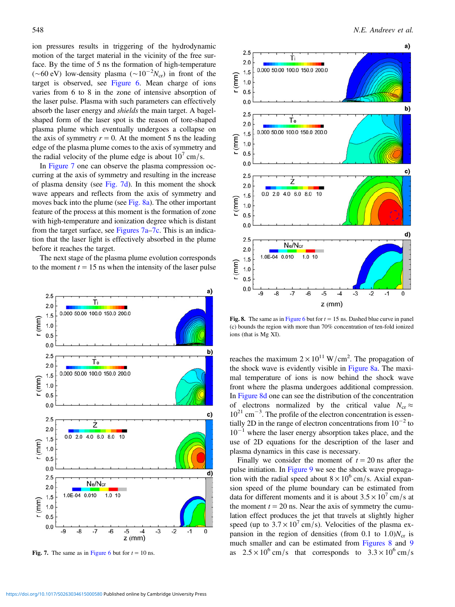<span id="page-7-0"></span>ion pressures results in triggering of the hydrodynamic motion of the target material in the vicinity of the free surface. By the time of 5 ns the formation of high-temperature (~60 eV) low-density plasma (~10<sup>-2</sup>N<sub>cr</sub>) in front of the target is observed, see [Figure 6.](#page-6-0) Mean charge of ions varies from 6 to 8 in the zone of intensive absorption of the laser pulse. Plasma with such parameters can effectively absorb the laser energy and shields the main target. A bagelshaped form of the laser spot is the reason of tore-shaped plasma plume which eventually undergoes a collapse on the axis of symmetry  $r = 0$ . At the moment 5 ns the leading edge of the plasma plume comes to the axis of symmetry and the radial velocity of the plume edge is about  $10<sup>7</sup>$  cm/s.

In Figure 7 one can observe the plasma compression occurring at the axis of symmetry and resulting in the increase of plasma density (see Fig. 7d). In this moment the shock wave appears and reflects from the axis of symmetry and moves back into the plume (see Fig. 8a). The other important feature of the process at this moment is the formation of zone with high-temperature and ionization degree which is distant from the target surface, see Figures  $7a-7c$ . This is an indication that the laser light is effectively absorbed in the plume before it reaches the target.

The next stage of the plasma plume evolution corresponds to the moment  $t = 15$  ns when the intensity of the laser pulse





Fig. 8. The same as in [Figure 6](#page-6-0) but for  $t = 15$  ns. Dashed blue curve in panel (c) bounds the region with more than 70% concentration of ten-fold ionized ions (that is Mg XI).

reaches the maximum  $2 \times 10^{11}$  W/cm<sup>2</sup>. The propagation of the shock wave is evidently visible in Figure 8a. The maximal temperature of ions is now behind the shock wave front where the plasma undergoes additional compression. In Figure 8d one can see the distribution of the concentration of electrons normalized by the critical value  $N_{cr} \approx$ 10<sup>21</sup> cm<sup>-3</sup>. The profile of the electron concentration is essentially 2D in the range of electron concentrations from  $10^{-2}$  to  $10^{-1}$  where the laser energy absorption takes place, and the use of 2D equations for the description of the laser and plasma dynamics in this case is necessary.

Finally we consider the moment of  $t = 20$  ns after the pulse initiation. In [Figure 9](#page-8-0) we see the shock wave propagation with the radial speed about  $8 \times 10^6$  cm/s. Axial expansion speed of the plume boundary can be estimated from data for different moments and it is about  $3.5 \times 10^7$  cm/s at the moment  $t = 20$  ns. Near the axis of symmetry the cumulation effect produces the jet that travels at slightly higher speed (up to  $3.7 \times 10^7$  cm/s). Velocities of the plasma expansion in the region of densities (from 0.1 to  $1.0$ ) $N_{cr}$  is much smaller and can be estimated from Figures 8 and [9](#page-8-0) Fig. 7. The same as in [Figure 6](#page-6-0) but for  $t = 10$  ns. <br>as  $2.5 \times 10^6$  cm/s that corresponds to  $3.3 \times 10^6$  cm/s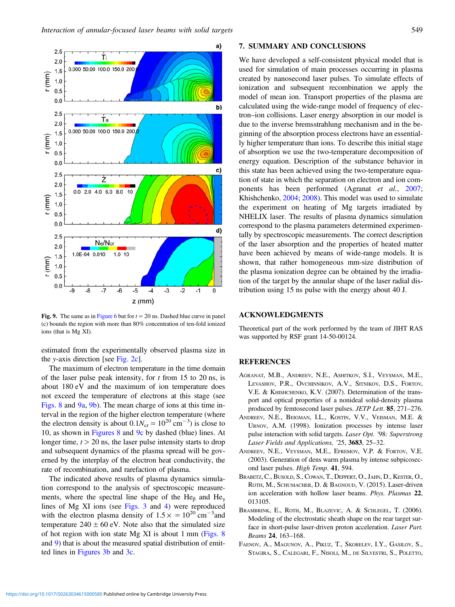<span id="page-8-0"></span>

Fig. 9. The same as in [Figure 6](#page-6-0) but for  $t = 20$  ns. Dashed blue curve in panel (c) bounds the region with more than 80% concentration of ten-fold ionized ions (that is Mg XI).

estimated from the experimentally observed plasma size in the y-axis direction [see [Fig. 2c](#page-4-0)].

The maximum of electron temperature in the time domain of the laser pulse peak intensity, for  $t$  from 15 to 20 ns, is about 180 eV and the maximum of ion temperature does not exceed the temperature of electrons at this stage (see [Figs. 8](#page-7-0) and 9a, 9b). The mean charge of ions at this time interval in the region of the higher electron temperature (where the electron density is about  $0.1N_{cr} = 10^{20} \text{ cm}^{-3}$ ) is close to 10, as shown in [Figures 8](#page-7-0) and 9c by dashed (blue) lines. At longer time,  $t > 20$  ns, the laser pulse intensity starts to drop and subsequent dynamics of the plasma spread will be governed by the interplay of the electron heat conductivity, the rate of recombination, and rarefaction of plasma.

The indicated above results of plasma dynamics simulation correspond to the analysis of spectroscopic measurements, where the spectral line shape of the He<sub>β</sub> and He<sub>ν</sub> lines of Mg XI ions (see [Figs. 3](#page-4-0) and [4](#page-5-0)) were reproduced with the electron plasma density of  $1.5 \times = 10^{20}$  cm<sup>-3</sup> and temperature  $240 \pm 60$  eV. Note also that the simulated size of hot region with ion state Mg XI is about 1 mm ([Figs. 8](#page-7-0) and 9) that is about the measured spatial distribution of emitted lines in [Figures 3b](#page-4-0) and [3c.](#page-4-0)

#### 7. SUMMARY AND CONCLUSIONS

We have developed a self-consistent physical model that is used for simulation of main processes occurring in plasma created by nanosecond laser pulses. To simulate effects of ionization and subsequent recombination we apply the model of mean ion. Transport properties of the plasma are calculated using the wide-range model of frequency of electron–ion collisions. Laser energy absorption in our model is due to the inverse bremsstrahlung mechanism and in the beginning of the absorption process electrons have an essentially higher temperature than ions. To describe this initial stage of absorption we use the two-temperature decomposition of energy equation. Description of the substance behavior in this state has been achieved using the two-temperature equation of state in which the separation on electron and ion components has been performed (Agranat et al., 2007; Khishchenko, [2004](#page-9-0); [2008\)](#page-9-0). This model was used to simulate the experiment on heating of Mg targets irradiated by NHELIX laser. The results of plasma dynamics simulation correspond to the plasma parameters determined experimentally by spectroscopic measurements. The correct description of the laser absorption and the properties of heated matter have been achieved by means of wide-range models. It is shown, that rather homogeneous mm-size distribution of the plasma ionization degree can be obtained by the irradiation of the target by the annular shape of the laser radial distribution using 15 ns pulse with the energy about 40 J.

## ACKNOWLEDGMENTS

Theoretical part of the work performed by the team of JIHT RAS was supported by RSF grant 14-50-00124.

#### REFERENCES

- AGRANAT, M.B., ANDREEV, N.E., ASHITKOV, S.I., VEYSMAN, M.E., LEVASHOV, P.R., OVCHINNIKOV, A.V., SITNIKOV, D.S., FORTOV, V.E. & KHISHCHENKO, K.V. (2007). Determination of the transport and optical properties of a nonideal solid-density plasma produced by femtosecond laser pulses. JETP Lett. 85, 271–276.
- ANDREEV, N.E., BEIGMAN, I.L., KOSTIN, V.V., VEISMAN, M.E. & URNOV, A.M. (1998). Ionization processes by intense laser pulse interaction with solid targets. Laser Opt. '98: Superstrong Laser Fields and Applications, '25, 3683, 25–32.
- ANDREEV, N.E., VEYSMAN, M.E., EFREMOV, V.P. & FORTOV, V.E. (2003). Generation of dens warm plasma by intense subpicosecond laser pulses. High Temp. 41, 594.
- BRABETZ, C., BUSOLD, S., COWAN, T., DEPPERT, O., JAHN, D., KESTER, O., ROTH, M., SCHUMACHER, D. & BAGNOUD, V. (2015). Laser-driven ion acceleration with hollow laser beams. Phys. Plasmas 22, 013105.
- BRAMBRINK, E., ROTH, M., BLAZEVIC, A. & SCHLEGEL, T. (2006). Modeling of the electrostatic sheath shape on the rear target surface in short-pulse laser-driven proton acceleration. Laser Part. Beams 24, 163–168.
- FAENOV, A., MAGUNOV, A., PIKUZ, T., SKOBELEV, I.Y., GASILOV, S., STAGIRA, S., CALEGARI, F., NISOLI, M., DE SILVESTRI, S., POLETTO,